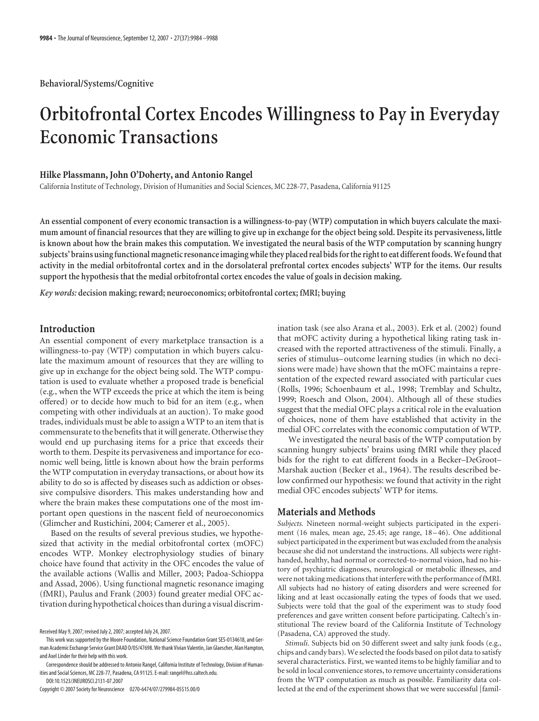# **Orbitofrontal Cortex Encodes Willingness to Pay in Everyday Economic Transactions**

# **Hilke Plassmann, John O'Doherty, and Antonio Rangel**

California Institute of Technology, Division of Humanities and Social Sciences, MC 228-77, Pasadena, California 91125

**An essential component of every economic transaction is a willingness-to-pay (WTP) computation in which buyers calculate the maximum amount of financial resources that they are willing to give up in exchange for the object being sold. Despite its pervasiveness, little is known about how the brain makes this computation. We investigated the neural basis of the WTP computation by scanning hungry** subjects' brains using functional magnetic resonance imaging while they placed real bids for the right to eat different foods. We found that **activity in the medial orbitofrontal cortex and in the dorsolateral prefrontal cortex encodes subjects' WTP for the items. Our results support the hypothesis that the medial orbitofrontal cortex encodes the value of goals in decision making.**

*Key words:* **decision making; reward; neuroeconomics; orbitofrontal cortex; fMRI; buying**

# **Introduction**

An essential component of every marketplace transaction is a willingness-to-pay (WTP) computation in which buyers calculate the maximum amount of resources that they are willing to give up in exchange for the object being sold. The WTP computation is used to evaluate whether a proposed trade is beneficial (e.g., when the WTP exceeds the price at which the item is being offered) or to decide how much to bid for an item (e.g., when competing with other individuals at an auction). To make good trades, individuals must be able to assign a WTP to an item that is commensurate to the benefits that it will generate. Otherwise they would end up purchasing items for a price that exceeds their worth to them. Despite its pervasiveness and importance for economic well being, little is known about how the brain performs the WTP computation in everyday transactions, or about how its ability to do so is affected by diseases such as addiction or obsessive compulsive disorders. This makes understanding how and where the brain makes these computations one of the most important open questions in the nascent field of neuroeconomics (Glimcher and Rustichini, 2004; Camerer et al., 2005).

Based on the results of several previous studies, we hypothesized that activity in the medial orbitofrontal cortex (mOFC) encodes WTP. Monkey electrophysiology studies of binary choice have found that activity in the OFC encodes the value of the available actions (Wallis and Miller, 2003; Padoa-Schioppa and Assad, 2006). Using functional magnetic resonance imaging (fMRI), Paulus and Frank (2003) found greater medial OFC activation during hypothetical choices than during a visual discrim-

Copyright © 2007 Society for Neuroscience 0270-6474/07/279984-05\$15.00/0

ination task (see also Arana et al., 2003). Erk et al. (2002) found that mOFC activity during a hypothetical liking rating task increased with the reported attractiveness of the stimuli. Finally, a series of stimulus– outcome learning studies (in which no decisions were made) have shown that the mOFC maintains a representation of the expected reward associated with particular cues (Rolls, 1996; Schoenbaum et al., 1998; Tremblay and Schultz, 1999; Roesch and Olson, 2004). Although all of these studies suggest that the medial OFC plays a critical role in the evaluation of choices, none of them have established that activity in the medial OFC correlates with the economic computation of WTP.

We investigated the neural basis of the WTP computation by scanning hungry subjects' brains using fMRI while they placed bids for the right to eat different foods in a Becker–DeGroot– Marshak auction (Becker et al., 1964). The results described below confirmed our hypothesis: we found that activity in the right medial OFC encodes subjects' WTP for items.

## **Materials and Methods**

*Subjects.* Nineteen normal-weight subjects participated in the experiment (16 males, mean age, 25.45; age range, 18 – 46). One additional subject participated in the experiment but was excluded from the analysis because she did not understand the instructions. All subjects were righthanded, healthy, had normal or corrected-to-normal vision, had no history of psychiatric diagnoses, neurological or metabolic illnesses, and were not taking medications that interfere with the performance of fMRI. All subjects had no history of eating disorders and were screened for liking and at least occasionally eating the types of foods that we used. Subjects were told that the goal of the experiment was to study food preferences and gave written consent before participating. Caltech's institutional The review board of the California Institute of Technology (Pasadena, CA) approved the study.

*Stimuli.* Subjects bid on 50 different sweet and salty junk foods (e.g., chips and candy bars). We selected the foods based on pilot data to satisfy several characteristics. First, we wanted items to be highly familiar and to be sold in local convenience stores, to remove uncertainty considerations from the WTP computation as much as possible. Familiarity data collected at the end of the experiment shows that we were successful [famil-

Received May 9, 2007; revised July 2, 2007; accepted July 24, 2007.

This work was supported by the Moore Foundation, National Science Foundation Grant SES-0134618, and German Academic Exchange Service Grant DAAD D/05/47698. We thank Vivian Valentin, Jan Glaescher, Alan Hampton, and Axel Linder for their help with this work.

Correspondence should be addressed to Antonio Rangel, California Institute of Technology, Division of Humanities and Social Sciences, MC 228-77, Pasadena, CA 91125. E-mail: rangel@hss.caltech.edu.

DOI:10.1523/JNEUROSCI.2131-07.2007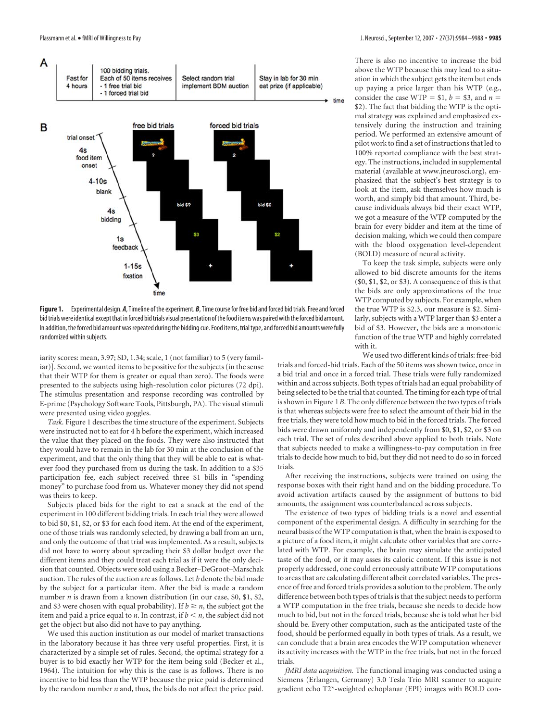

**Figure 1.** Experimental design. *A*, Timeline of the experiment. *B*, Time course for free bid and forced bid trials. Free and forced bid trials were identical except that in forced bid trials visual presentation of the food items was paired with the forced bid amount. In addition, the forced bid amount was repeated during the bidding cue. Food items, trial type, and forced bid amounts were fully randomized within subjects.

iarity scores: mean, 3.97; SD, 1.34; scale, 1 (not familiar) to 5 (very familiar)]. Second, we wanted items to be positive for the subjects (in the sense that their WTP for them is greater or equal than zero). The foods were presented to the subjects using high-resolution color pictures (72 dpi). The stimulus presentation and response recording was controlled by E-prime (Psychology Software Tools, Pittsburgh, PA). The visual stimuli were presented using video goggles.

*Task.* Figure 1 describes the time structure of the experiment. Subjects were instructed not to eat for 4 h before the experiment, which increased the value that they placed on the foods. They were also instructed that they would have to remain in the lab for 30 min at the conclusion of the experiment, and that the only thing that they will be able to eat is whatever food they purchased from us during the task. In addition to a \$35 participation fee, each subject received three \$1 bills in "spending money" to purchase food from us. Whatever money they did not spend was theirs to keep.

Subjects placed bids for the right to eat a snack at the end of the experiment in 100 different bidding trials. In each trial they were allowed to bid \$0, \$1, \$2, or \$3 for each food item. At the end of the experiment, one of those trials was randomly selected, by drawing a ball from an urn, and only the outcome of that trial was implemented. As a result, subjects did not have to worry about spreading their \$3 dollar budget over the different items and they could treat each trial as if it were the only decision that counted. Objects were sold using a Becker–DeGroot–Marschak auction. The rules of the auction are as follows. Let *b* denote the bid made by the subject for a particular item. After the bid is made a random number *n* is drawn from a known distribution (in our case, \$0, \$1, \$2, and \$3 were chosen with equal probability). If  $b \ge n$ , the subject got the item and paid a price equal to *n*. In contrast, if  $b \le n$ , the subject did not get the object but also did not have to pay anything.

We used this auction institution as our model of market transactions in the laboratory because it has three very useful properties. First, it is characterized by a simple set of rules. Second, the optimal strategy for a buyer is to bid exactly her WTP for the item being sold (Becker et al., 1964). The intuition for why this is the case is as follows. There is no incentive to bid less than the WTP because the price paid is determined by the random number *n* and, thus, the bids do not affect the price paid.

There is also no incentive to increase the bid above the WTP because this may lead to a situation in which the subject gets the item but ends up paying a price larger than his WTP (e.g., consider the case WTP =  $$1, b = $3, \text{ and } n =$ \$2). The fact that bidding the WTP is the optimal strategy was explained and emphasized extensively during the instruction and training period. We performed an extensive amount of pilot work to find a set of instructions that led to 100% reported compliance with the best strategy. The instructions, included in supplemental material (available at www.jneurosci.org), emphasized that the subject's best strategy is to look at the item, ask themselves how much is worth, and simply bid that amount. Third, because individuals always bid their exact WTP, we got a measure of the WTP computed by the brain for every bidder and item at the time of decision making, which we could then compare with the blood oxygenation level-dependent (BOLD) measure of neural activity.

To keep the task simple, subjects were only allowed to bid discrete amounts for the items (\$0, \$1, \$2, or \$3). A consequence of this is that the bids are only approximations of the true WTP computed by subjects. For example, when the true WTP is \$2.3, our measure is \$2. Similarly, subjects with a WTP larger than \$3 enter a bid of \$3. However, the bids are a monotonic function of the true WTP and highly correlated with it.

We used two different kinds of trials: free-bid trials and forced-bid trials. Each of the 50 items was shown twice, once in a bid trial and once in a forced trial. These trials were fully randomized within and across subjects. Both types of trials had an equal probability of being selected to be the trial that counted. The timing for each type of trial is shown in Figure 1*B*. The only difference between the two types of trials is that whereas subjects were free to select the amount of their bid in the free trials, they were told how much to bid in the forced trials. The forced bids were drawn uniformly and independently from \$0, \$1, \$2, or \$3 on each trial. The set of rules described above applied to both trials. Note that subjects needed to make a willingness-to-pay computation in free trials to decide how much to bid, but they did not need to do so in forced trials.

After receiving the instructions, subjects were trained on using the response boxes with their right hand and on the bidding procedure. To avoid activation artifacts caused by the assignment of buttons to bid amounts, the assignment was counterbalanced across subjects.

The existence of two types of bidding trials is a novel and essential component of the experimental design. A difficulty in searching for the neural basis of theWTP computation is that, when the brain is exposed to a picture of a food item, it might calculate other variables that are correlated with WTP. For example, the brain may simulate the anticipated taste of the food, or it may asses its caloric content. If this issue is not properly addressed, one could erroneously attribute WTP computations to areas that are calculating different albeit correlated variables. The presence of free and forced trials provides a solution to the problem. The only difference between both types of trials is that the subject needs to perform a WTP computation in the free trials, because she needs to decide how much to bid, but not in the forced trials, because she is told what her bid should be. Every other computation, such as the anticipated taste of the food, should be performed equally in both types of trials. As a result, we can conclude that a brain area encodes the WTP computation whenever its activity increases with the WTP in the free trials, but not in the forced trials.

*fMRI data acquisition.* The functional imaging was conducted using a Siemens (Erlangen, Germany) 3.0 Tesla Trio MRI scanner to acquire gradient echo T2\*-weighted echoplanar (EPI) images with BOLD con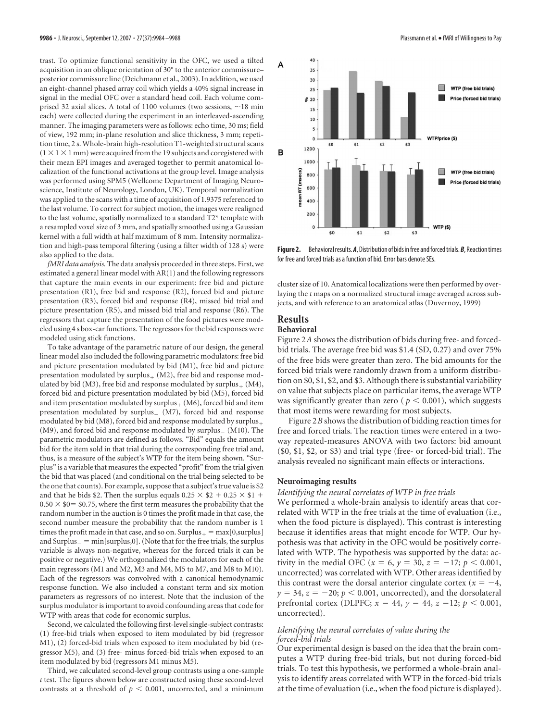trast. To optimize functional sensitivity in the OFC, we used a tilted acquisition in an oblique orientation of 30° to the anterior commissure– posterior commissure line (Deichmann et al., 2003). In addition, we used an eight-channel phased array coil which yields a 40% signal increase in signal in the medial OFC over a standard head coil. Each volume comprised 32 axial slices. A total of 1100 volumes (two sessions,  $\sim$  18 min each) were collected during the experiment in an interleaved-ascending manner. The imaging parameters were as follows: echo time, 30 ms; field of view, 192 mm; in-plane resolution and slice thickness, 3 mm; repetition time, 2 s. Whole-brain high-resolution T1-weighted structural scans  $(1 \times 1 \times 1$  mm) were acquired from the 19 subjects and coregistered with their mean EPI images and averaged together to permit anatomical localization of the functional activations at the group level. Image analysis was performed using SPM5 (Wellcome Department of Imaging Neuroscience, Institute of Neurology, London, UK). Temporal normalization was applied to the scans with a time of acquisition of 1.9375 referenced to the last volume. To correct for subject motion, the images were realigned to the last volume, spatially normalized to a standard T2\* template with a resampled voxel size of 3 mm, and spatially smoothed using a Gaussian kernel with a full width at half maximum of 8 mm. Intensity normalization and high-pass temporal filtering (using a filter width of 128 s) were also applied to the data.

*fMRI data analysis.* The data analysis proceeded in three steps. First, we estimated a general linear model with AR(1) and the following regressors that capture the main events in our experiment: free bid and picture presentation (R1), free bid and response (R2), forced bid and picture presentation (R3), forced bid and response (R4), missed bid trial and picture presentation (R5), and missed bid trial and response (R6). The regressors that capture the presentation of the food pictures were modeled using 4 s box-car functions. The regressors for the bid responses were modeled using stick functions.

To take advantage of the parametric nature of our design, the general linear model also included the following parametric modulators: free bid and picture presentation modulated by bid (M1), free bid and picture presentation modulated by surplus $_+$  (M2), free bid and response modulated by bid (M3), free bid and response modulated by surplus $_+$  (M4), forced bid and picture presentation modulated by bid (M5), forced bid and item presentation modulated by surplus  $_+$  (M6), forced bid and item presentation modulated by surplus $($  M7), forced bid and response modulated by bid (M8), forced bid and response modulated by surplus (M9), and forced bid and response modulated by  $surplus_{-}$  (M10). The parametric modulators are defined as follows. "Bid" equals the amount bid for the item sold in that trial during the corresponding free trial and, thus, is a measure of the subject's WTP for the item being shown. "Surplus" is a variable that measures the expected "profit" from the trial given the bid that was placed (and conditional on the trial being selected to be the one that counts). For example, suppose that a subject's true value is \$2 and that he bids \$2. Then the surplus equals  $0.25 \times $2 + 0.25 \times $1 +$  $0.50 \times $0 = $0.75$ , where the first term measures the probability that the random number in the auction is 0 times the profit made in that case, the second number measure the probability that the random number is 1 times the profit made in that case, and so on.  $\text{Surplus}_+ = \max[0, \text{surplus}]$ and  $\text{Surplus}_{-} = \min[\text{surplus}, 0]$ . (Note that for the free trials, the surplus variable is always non-negative, whereas for the forced trials it can be positive or negative.) We orthogonalized the modulators for each of the main regressors (M1 and M2, M3 and M4, M5 to M7, and M8 to M10). Each of the regressors was convolved with a canonical hemodynamic response function. We also included a constant term and six motion parameters as regressors of no interest. Note that the inclusion of the surplus modulator is important to avoid confounding areas that code for WTP with areas that code for economic surplus.

Second, we calculated the following first-level single-subject contrasts: (1) free-bid trials when exposed to item modulated by bid (regressor M1), (2) forced-bid trials when exposed to item modulated by bid (regressor M5), and (3) free- minus forced-bid trials when exposed to an item modulated by bid (regressors M1 minus M5).

Third, we calculated second-level group contrasts using a one-sample *t* test. The figures shown below are constructed using these second-level contrasts at a threshold of  $p < 0.001$ , uncorrected, and a minimum



Figure 2. Behavioral results. A, Distribution of bids in free and forced trials. B, Reaction times for free and forced trials as a function of bid. Error bars denote SEs.

cluster size of 10. Anatomical localizations were then performed by overlaying the *t* maps on a normalized structural image averaged across subjects, and with reference to an anatomical atlas (Duvernoy, 1999)

# **Results**

# **Behavioral**

Figure 2*A* shows the distribution of bids during free- and forcedbid trials. The average free bid was \$1.4 (SD, 0.27) and over 75% of the free bids were greater than zero. The bid amounts for the forced bid trials were randomly drawn from a uniform distribution on \$0, \$1, \$2, and \$3. Although there is substantial variability on value that subjects place on particular items, the average WTP was significantly greater than zero ( $p < 0.001$ ), which suggests that most items were rewarding for most subjects.

Figure 2*B* shows the distribution of bidding reaction times for free and forced trials. The reaction times were entered in a twoway repeated-measures ANOVA with two factors: bid amount (\$0, \$1, \$2, or \$3) and trial type (free- or forced-bid trial). The analysis revealed no significant main effects or interactions.

#### **Neuroimaging results**

#### *Identifying the neural correlates of WTP in free trials*

We performed a whole-brain analysis to identify areas that correlated with WTP in the free trials at the time of evaluation (i.e., when the food picture is displayed). This contrast is interesting because it identifies areas that might encode for WTP. Our hypothesis was that activity in the OFC would be positively correlated with WTP. The hypothesis was supported by the data: activity in the medial OFC ( $x = 6$ ,  $y = 30$ ,  $z = -17$ ;  $p < 0.001$ , uncorrected) was correlated with WTP. Other areas identified by this contrast were the dorsal anterior cingulate cortex ( $x = -4$ ,  $y = 34$ ,  $z = -20$ ;  $p < 0.001$ , uncorrected), and the dorsolateral prefrontal cortex (DLPFC;  $x = 44$ ,  $y = 44$ ,  $z = 12$ ;  $p < 0.001$ , uncorrected).

#### *Identifying the neural correlates of value during the forced-bid trials*

Our experimental design is based on the idea that the brain computes a WTP during free-bid trials, but not during forced-bid trials. To test this hypothesis, we performed a whole-brain analysis to identify areas correlated with WTP in the forced-bid trials at the time of evaluation (i.e., when the food picture is displayed).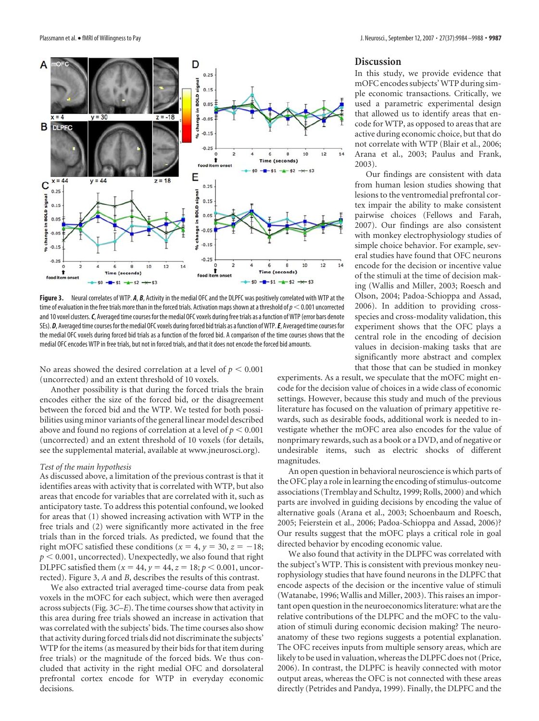

**Figure 3.** Neural correlates of WTP. *A*, *B*, Activity in the medial OFC and the DLPFC was positively correlated with WTP at the time of evaluation in the free trials more than in the forced trials. Activation maps shown at a threshold of  $p<$ 0.001 uncorrected and 10 voxel clusters.*C*, Averaged time courses for the medial OFC voxels during free trials as a function ofWTP (error bars denote SEs). D, Averaged time courses for the medial OFC voxels during forced bid trials as a function of WTP. E, Averaged time courses for the medial OFC voxels during forced bid trials as a function of the forced bid. A comparison of the time courses shows that the medial OFC encodes WTP in free trials, but not in forced trials, and that it does not encode the forced bid amounts.

No areas showed the desired correlation at a level of  $p < 0.001$ (uncorrected) and an extent threshold of 10 voxels.

Another possibility is that during the forced trials the brain encodes either the size of the forced bid, or the disagreement between the forced bid and the WTP. We tested for both possibilities using minor variants of the general linear model described above and found no regions of correlation at a level of  $p < 0.001$ (uncorrected) and an extent threshold of 10 voxels (for details, see the supplemental material, available at www.jneurosci.org).

### *Test of the main hypothesis*

As discussed above, a limitation of the previous contrast is that it identifies areas with activity that is correlated with WTP, but also areas that encode for variables that are correlated with it, such as anticipatory taste. To address this potential confound, we looked for areas that (1) showed increasing activation with WTP in the free trials and (2) were significantly more activated in the free trials than in the forced trials. As predicted, we found that the right mOFC satisfied these conditions ( $x = 4$ ,  $y = 30$ ,  $z = -18$ ;  $p < 0.001$ , uncorrected). Unexpectedly, we also found that right DLPFC satisfied them  $(x = 44, y = 44, z = 18; p < 0.001,$  uncorrected). Figure 3, *A* and *B*, describes the results of this contrast.

We also extracted trial averaged time-course data from peak voxels in the mOFC for each subject, which were then averaged across subjects (Fig. 3*C*–*E*). The time courses show that activity in this area during free trials showed an increase in activation that was correlated with the subjects' bids. The time courses also show that activity during forced trials did not discriminate the subjects' WTP for the items (as measured by their bids for that item during free trials) or the magnitude of the forced bids. We thus concluded that activity in the right medial OFC and dorsolateral prefrontal cortex encode for WTP in everyday economic decisions.

# **Discussion**

In this study, we provide evidence that mOFC encodes subjects'WTP during simple economic transactions. Critically, we used a parametric experimental design that allowed us to identify areas that encode for WTP, as opposed to areas that are active during economic choice, but that do not correlate with WTP (Blair et al., 2006; Arana et al., 2003; Paulus and Frank, 2003).

Our findings are consistent with data from human lesion studies showing that lesions to the ventromedial prefrontal cortex impair the ability to make consistent pairwise choices (Fellows and Farah, 2007). Our findings are also consistent with monkey electrophysiology studies of simple choice behavior. For example, several studies have found that OFC neurons encode for the decision or incentive value of the stimuli at the time of decision making (Wallis and Miller, 2003; Roesch and Olson, 2004; Padoa-Schioppa and Assad, 2006). In addition to providing crossspecies and cross-modality validation, this experiment shows that the OFC plays a central role in the encoding of decision values in decision-making tasks that are significantly more abstract and complex that those that can be studied in monkey

experiments. As a result, we speculate that the mOFC might encode for the decision value of choices in a wide class of economic settings. However, because this study and much of the previous literature has focused on the valuation of primary appetitive rewards, such as desirable foods, additional work is needed to investigate whether the mOFC area also encodes for the value of nonprimary rewards, such as a book or a DVD, and of negative or undesirable items, such as electric shocks of different magnitudes.

An open question in behavioral neuroscience is which parts of the OFC play a role in learning the encoding of stimulus-outcome associations (Tremblay and Schultz, 1999; Rolls, 2000) and which parts are involved in guiding decisions by encoding the value of alternative goals (Arana et al., 2003; Schoenbaum and Roesch, 2005; Feierstein et al., 2006; Padoa-Schioppa and Assad, 2006)? Our results suggest that the mOFC plays a critical role in goal directed behavior by encoding economic value.

We also found that activity in the DLPFC was correlated with the subject's WTP. This is consistent with previous monkey neurophysiology studies that have found neurons in the DLPFC that encode aspects of the decision or the incentive value of stimuli (Watanabe, 1996; Wallis and Miller, 2003). This raises an important open question in the neuroeconomics literature: what are the relative contributions of the DLPFC and the mOFC to the valuation of stimuli during economic decision making? The neuroanatomy of these two regions suggests a potential explanation. The OFC receives inputs from multiple sensory areas, which are likely to be used in valuation, whereas the DLPFC does not (Price, 2006). In contrast, the DLPFC is heavily connected with motor output areas, whereas the OFC is not connected with these areas directly (Petrides and Pandya, 1999). Finally, the DLPFC and the